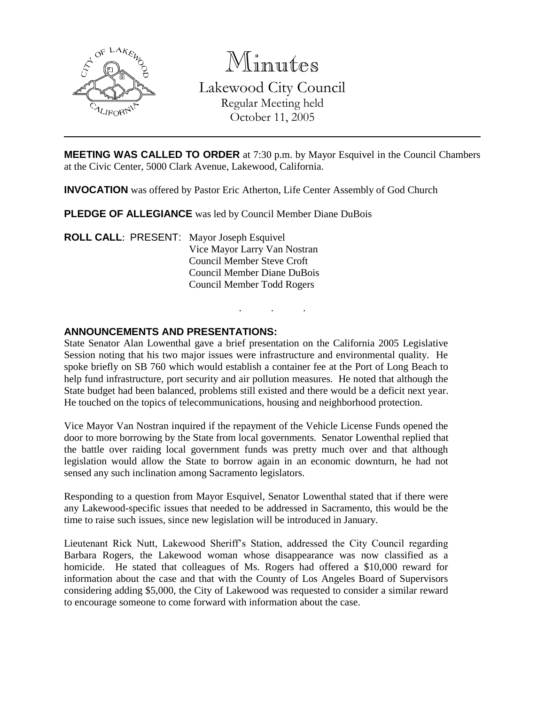

Minutes Lakewood City Council Regular Meeting held October 11, 2005

**MEETING WAS CALLED TO ORDER** at 7:30 p.m. by Mayor Esquivel in the Council Chambers at the Civic Center, 5000 Clark Avenue, Lakewood, California.

**INVOCATION** was offered by Pastor Eric Atherton, Life Center Assembly of God Church

**PLEDGE OF ALLEGIANCE** was led by Council Member Diane DuBois

**ROLL CALL**: PRESENT: Mayor Joseph Esquivel Vice Mayor Larry Van Nostran Council Member Steve Croft Council Member Diane DuBois Council Member Todd Rogers

### **ANNOUNCEMENTS AND PRESENTATIONS:**

State Senator Alan Lowenthal gave a brief presentation on the California 2005 Legislative Session noting that his two major issues were infrastructure and environmental quality. He spoke briefly on SB 760 which would establish a container fee at the Port of Long Beach to help fund infrastructure, port security and air pollution measures. He noted that although the State budget had been balanced, problems still existed and there would be a deficit next year. He touched on the topics of telecommunications, housing and neighborhood protection.

. . .

Vice Mayor Van Nostran inquired if the repayment of the Vehicle License Funds opened the door to more borrowing by the State from local governments. Senator Lowenthal replied that the battle over raiding local government funds was pretty much over and that although legislation would allow the State to borrow again in an economic downturn, he had not sensed any such inclination among Sacramento legislators.

Responding to a question from Mayor Esquivel, Senator Lowenthal stated that if there were any Lakewood-specific issues that needed to be addressed in Sacramento, this would be the time to raise such issues, since new legislation will be introduced in January.

Lieutenant Rick Nutt, Lakewood Sheriff's Station, addressed the City Council regarding Barbara Rogers, the Lakewood woman whose disappearance was now classified as a homicide. He stated that colleagues of Ms. Rogers had offered a \$10,000 reward for information about the case and that with the County of Los Angeles Board of Supervisors considering adding \$5,000, the City of Lakewood was requested to consider a similar reward to encourage someone to come forward with information about the case.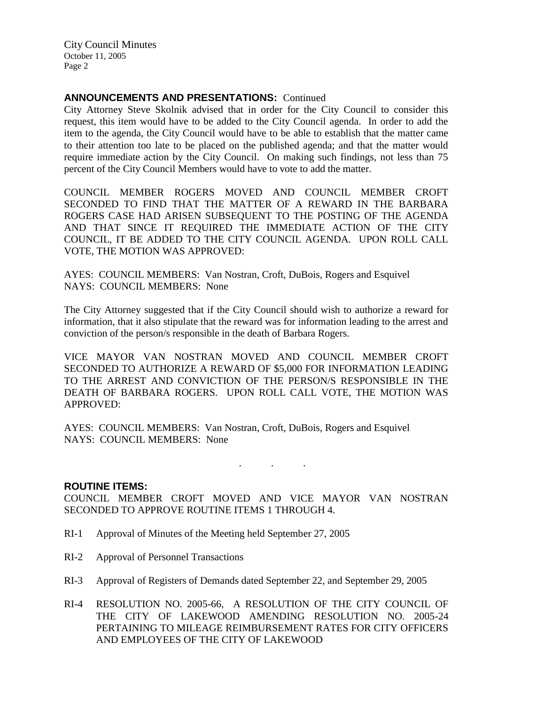## **ANNOUNCEMENTS AND PRESENTATIONS:** Continued

City Attorney Steve Skolnik advised that in order for the City Council to consider this request, this item would have to be added to the City Council agenda. In order to add the item to the agenda, the City Council would have to be able to establish that the matter came to their attention too late to be placed on the published agenda; and that the matter would require immediate action by the City Council. On making such findings, not less than 75 percent of the City Council Members would have to vote to add the matter.

COUNCIL MEMBER ROGERS MOVED AND COUNCIL MEMBER CROFT SECONDED TO FIND THAT THE MATTER OF A REWARD IN THE BARBARA ROGERS CASE HAD ARISEN SUBSEQUENT TO THE POSTING OF THE AGENDA AND THAT SINCE IT REQUIRED THE IMMEDIATE ACTION OF THE CITY COUNCIL, IT BE ADDED TO THE CITY COUNCIL AGENDA. UPON ROLL CALL VOTE, THE MOTION WAS APPROVED:

AYES: COUNCIL MEMBERS: Van Nostran, Croft, DuBois, Rogers and Esquivel NAYS: COUNCIL MEMBERS: None

The City Attorney suggested that if the City Council should wish to authorize a reward for information, that it also stipulate that the reward was for information leading to the arrest and conviction of the person/s responsible in the death of Barbara Rogers.

VICE MAYOR VAN NOSTRAN MOVED AND COUNCIL MEMBER CROFT SECONDED TO AUTHORIZE A REWARD OF \$5,000 FOR INFORMATION LEADING TO THE ARREST AND CONVICTION OF THE PERSON/S RESPONSIBLE IN THE DEATH OF BARBARA ROGERS. UPON ROLL CALL VOTE, THE MOTION WAS APPROVED:

AYES: COUNCIL MEMBERS: Van Nostran, Croft, DuBois, Rogers and Esquivel NAYS: COUNCIL MEMBERS: None

. . .

### **ROUTINE ITEMS:**

COUNCIL MEMBER CROFT MOVED AND VICE MAYOR VAN NOSTRAN SECONDED TO APPROVE ROUTINE ITEMS 1 THROUGH 4.

- RI-1 Approval of Minutes of the Meeting held September 27, 2005
- RI-2 Approval of Personnel Transactions
- RI-3 Approval of Registers of Demands dated September 22, and September 29, 2005
- RI-4 RESOLUTION NO. 2005-66, A RESOLUTION OF THE CITY COUNCIL OF THE CITY OF LAKEWOOD AMENDING RESOLUTION NO. 2005-24 PERTAINING TO MILEAGE REIMBURSEMENT RATES FOR CITY OFFICERS AND EMPLOYEES OF THE CITY OF LAKEWOOD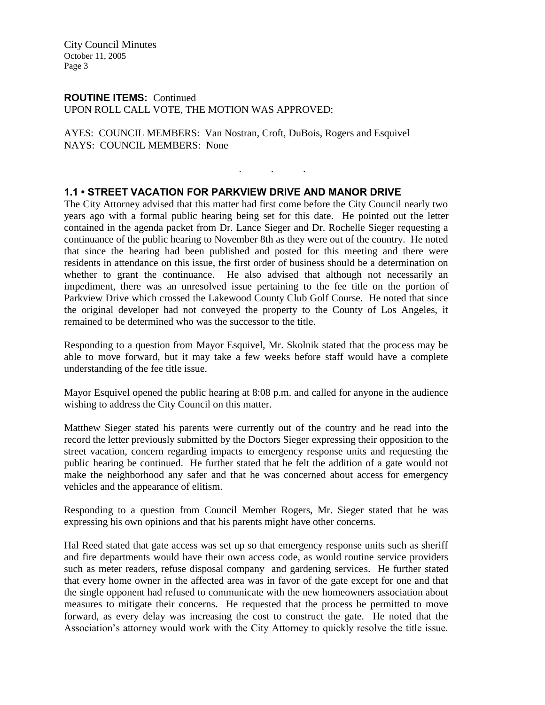### **ROUTINE ITEMS:** Continued UPON ROLL CALL VOTE, THE MOTION WAS APPROVED:

AYES: COUNCIL MEMBERS: Van Nostran, Croft, DuBois, Rogers and Esquivel NAYS: COUNCIL MEMBERS: None

## **1.1 • STREET VACATION FOR PARKVIEW DRIVE AND MANOR DRIVE**

The City Attorney advised that this matter had first come before the City Council nearly two years ago with a formal public hearing being set for this date. He pointed out the letter contained in the agenda packet from Dr. Lance Sieger and Dr. Rochelle Sieger requesting a continuance of the public hearing to November 8th as they were out of the country. He noted that since the hearing had been published and posted for this meeting and there were residents in attendance on this issue, the first order of business should be a determination on whether to grant the continuance. He also advised that although not necessarily an impediment, there was an unresolved issue pertaining to the fee title on the portion of Parkview Drive which crossed the Lakewood County Club Golf Course. He noted that since the original developer had not conveyed the property to the County of Los Angeles, it remained to be determined who was the successor to the title.

. . .

Responding to a question from Mayor Esquivel, Mr. Skolnik stated that the process may be able to move forward, but it may take a few weeks before staff would have a complete understanding of the fee title issue.

Mayor Esquivel opened the public hearing at 8:08 p.m. and called for anyone in the audience wishing to address the City Council on this matter.

Matthew Sieger stated his parents were currently out of the country and he read into the record the letter previously submitted by the Doctors Sieger expressing their opposition to the street vacation, concern regarding impacts to emergency response units and requesting the public hearing be continued. He further stated that he felt the addition of a gate would not make the neighborhood any safer and that he was concerned about access for emergency vehicles and the appearance of elitism.

Responding to a question from Council Member Rogers, Mr. Sieger stated that he was expressing his own opinions and that his parents might have other concerns.

Hal Reed stated that gate access was set up so that emergency response units such as sheriff and fire departments would have their own access code, as would routine service providers such as meter readers, refuse disposal company and gardening services. He further stated that every home owner in the affected area was in favor of the gate except for one and that the single opponent had refused to communicate with the new homeowners association about measures to mitigate their concerns. He requested that the process be permitted to move forward, as every delay was increasing the cost to construct the gate. He noted that the Association's attorney would work with the City Attorney to quickly resolve the title issue.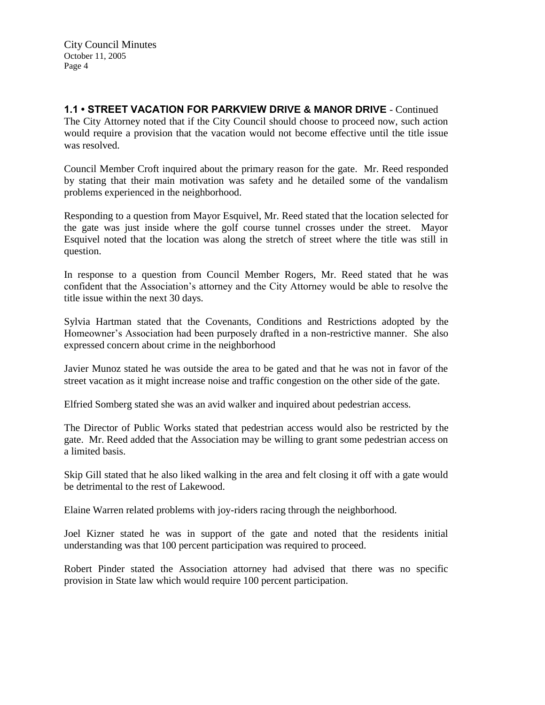**1.1 • STREET VACATION FOR PARKVIEW DRIVE & MANOR DRIVE** - Continued The City Attorney noted that if the City Council should choose to proceed now, such action would require a provision that the vacation would not become effective until the title issue was resolved.

Council Member Croft inquired about the primary reason for the gate. Mr. Reed responded by stating that their main motivation was safety and he detailed some of the vandalism problems experienced in the neighborhood.

Responding to a question from Mayor Esquivel, Mr. Reed stated that the location selected for the gate was just inside where the golf course tunnel crosses under the street. Mayor Esquivel noted that the location was along the stretch of street where the title was still in question.

In response to a question from Council Member Rogers, Mr. Reed stated that he was confident that the Association's attorney and the City Attorney would be able to resolve the title issue within the next 30 days.

Sylvia Hartman stated that the Covenants, Conditions and Restrictions adopted by the Homeowner's Association had been purposely drafted in a non-restrictive manner. She also expressed concern about crime in the neighborhood

Javier Munoz stated he was outside the area to be gated and that he was not in favor of the street vacation as it might increase noise and traffic congestion on the other side of the gate.

Elfried Somberg stated she was an avid walker and inquired about pedestrian access.

The Director of Public Works stated that pedestrian access would also be restricted by the gate. Mr. Reed added that the Association may be willing to grant some pedestrian access on a limited basis.

Skip Gill stated that he also liked walking in the area and felt closing it off with a gate would be detrimental to the rest of Lakewood.

Elaine Warren related problems with joy-riders racing through the neighborhood.

Joel Kizner stated he was in support of the gate and noted that the residents initial understanding was that 100 percent participation was required to proceed.

Robert Pinder stated the Association attorney had advised that there was no specific provision in State law which would require 100 percent participation.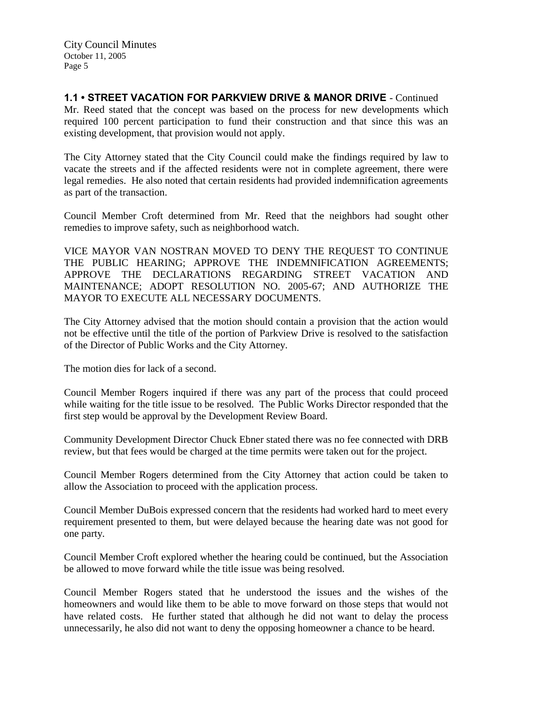**1.1 • STREET VACATION FOR PARKVIEW DRIVE & MANOR DRIVE** - Continued Mr. Reed stated that the concept was based on the process for new developments which

required 100 percent participation to fund their construction and that since this was an existing development, that provision would not apply.

The City Attorney stated that the City Council could make the findings required by law to vacate the streets and if the affected residents were not in complete agreement, there were legal remedies. He also noted that certain residents had provided indemnification agreements as part of the transaction.

Council Member Croft determined from Mr. Reed that the neighbors had sought other remedies to improve safety, such as neighborhood watch.

VICE MAYOR VAN NOSTRAN MOVED TO DENY THE REQUEST TO CONTINUE THE PUBLIC HEARING; APPROVE THE INDEMNIFICATION AGREEMENTS; APPROVE THE DECLARATIONS REGARDING STREET VACATION AND MAINTENANCE; ADOPT RESOLUTION NO. 2005-67; AND AUTHORIZE THE MAYOR TO EXECUTE ALL NECESSARY DOCUMENTS.

The City Attorney advised that the motion should contain a provision that the action would not be effective until the title of the portion of Parkview Drive is resolved to the satisfaction of the Director of Public Works and the City Attorney.

The motion dies for lack of a second.

Council Member Rogers inquired if there was any part of the process that could proceed while waiting for the title issue to be resolved. The Public Works Director responded that the first step would be approval by the Development Review Board.

Community Development Director Chuck Ebner stated there was no fee connected with DRB review, but that fees would be charged at the time permits were taken out for the project.

Council Member Rogers determined from the City Attorney that action could be taken to allow the Association to proceed with the application process.

Council Member DuBois expressed concern that the residents had worked hard to meet every requirement presented to them, but were delayed because the hearing date was not good for one party.

Council Member Croft explored whether the hearing could be continued, but the Association be allowed to move forward while the title issue was being resolved.

Council Member Rogers stated that he understood the issues and the wishes of the homeowners and would like them to be able to move forward on those steps that would not have related costs. He further stated that although he did not want to delay the process unnecessarily, he also did not want to deny the opposing homeowner a chance to be heard.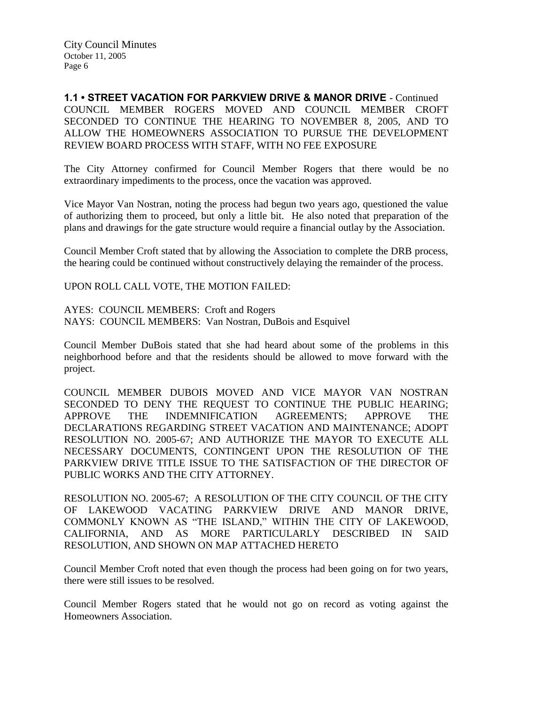**1.1 • STREET VACATION FOR PARKVIEW DRIVE & MANOR DRIVE** - Continued COUNCIL MEMBER ROGERS MOVED AND COUNCIL MEMBER CROFT SECONDED TO CONTINUE THE HEARING TO NOVEMBER 8, 2005, AND TO ALLOW THE HOMEOWNERS ASSOCIATION TO PURSUE THE DEVELOPMENT REVIEW BOARD PROCESS WITH STAFF, WITH NO FEE EXPOSURE

The City Attorney confirmed for Council Member Rogers that there would be no extraordinary impediments to the process, once the vacation was approved.

Vice Mayor Van Nostran, noting the process had begun two years ago, questioned the value of authorizing them to proceed, but only a little bit. He also noted that preparation of the plans and drawings for the gate structure would require a financial outlay by the Association.

Council Member Croft stated that by allowing the Association to complete the DRB process, the hearing could be continued without constructively delaying the remainder of the process.

UPON ROLL CALL VOTE, THE MOTION FAILED:

AYES: COUNCIL MEMBERS: Croft and Rogers NAYS: COUNCIL MEMBERS: Van Nostran, DuBois and Esquivel

Council Member DuBois stated that she had heard about some of the problems in this neighborhood before and that the residents should be allowed to move forward with the project.

COUNCIL MEMBER DUBOIS MOVED AND VICE MAYOR VAN NOSTRAN SECONDED TO DENY THE REQUEST TO CONTINUE THE PUBLIC HEARING; APPROVE THE INDEMNIFICATION AGREEMENTS; APPROVE THE DECLARATIONS REGARDING STREET VACATION AND MAINTENANCE; ADOPT RESOLUTION NO. 2005-67; AND AUTHORIZE THE MAYOR TO EXECUTE ALL NECESSARY DOCUMENTS, CONTINGENT UPON THE RESOLUTION OF THE PARKVIEW DRIVE TITLE ISSUE TO THE SATISFACTION OF THE DIRECTOR OF PUBLIC WORKS AND THE CITY ATTORNEY.

RESOLUTION NO. 2005-67; A RESOLUTION OF THE CITY COUNCIL OF THE CITY OF LAKEWOOD VACATING PARKVIEW DRIVE AND MANOR DRIVE, COMMONLY KNOWN AS "THE ISLAND," WITHIN THE CITY OF LAKEWOOD, CALIFORNIA, AND AS MORE PARTICULARLY DESCRIBED IN SAID RESOLUTION, AND SHOWN ON MAP ATTACHED HERETO

Council Member Croft noted that even though the process had been going on for two years, there were still issues to be resolved.

Council Member Rogers stated that he would not go on record as voting against the Homeowners Association.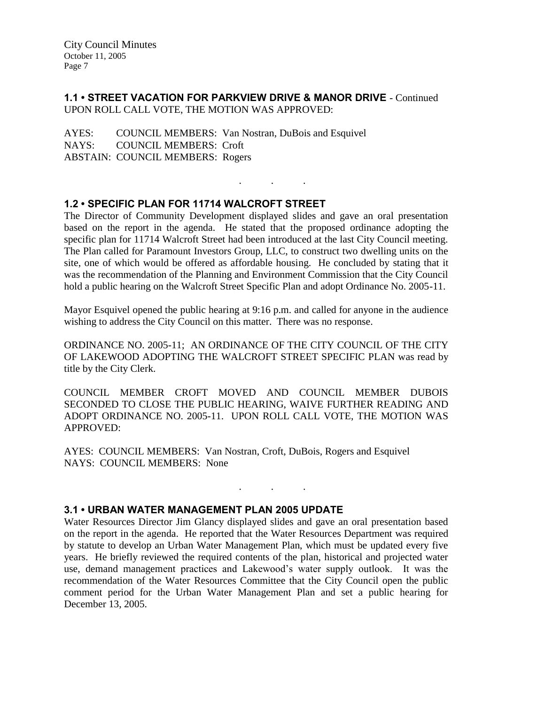# **1.1 • STREET VACATION FOR PARKVIEW DRIVE & MANOR DRIVE** - Continued UPON ROLL CALL VOTE, THE MOTION WAS APPROVED:

AYES: COUNCIL MEMBERS: Van Nostran, DuBois and Esquivel NAYS: COUNCIL MEMBERS: Croft ABSTAIN: COUNCIL MEMBERS: Rogers

# **1.2 • SPECIFIC PLAN FOR 11714 WALCROFT STREET**

The Director of Community Development displayed slides and gave an oral presentation based on the report in the agenda. He stated that the proposed ordinance adopting the specific plan for 11714 Walcroft Street had been introduced at the last City Council meeting. The Plan called for Paramount Investors Group, LLC, to construct two dwelling units on the site, one of which would be offered as affordable housing. He concluded by stating that it was the recommendation of the Planning and Environment Commission that the City Council hold a public hearing on the Walcroft Street Specific Plan and adopt Ordinance No. 2005-11.

. . .

Mayor Esquivel opened the public hearing at 9:16 p.m. and called for anyone in the audience wishing to address the City Council on this matter. There was no response.

ORDINANCE NO. 2005-11; AN ORDINANCE OF THE CITY COUNCIL OF THE CITY OF LAKEWOOD ADOPTING THE WALCROFT STREET SPECIFIC PLAN was read by title by the City Clerk.

COUNCIL MEMBER CROFT MOVED AND COUNCIL MEMBER DUBOIS SECONDED TO CLOSE THE PUBLIC HEARING, WAIVE FURTHER READING AND ADOPT ORDINANCE NO. 2005-11. UPON ROLL CALL VOTE, THE MOTION WAS APPROVED:

. . .

AYES: COUNCIL MEMBERS: Van Nostran, Croft, DuBois, Rogers and Esquivel NAYS: COUNCIL MEMBERS: None

## **3.1 • URBAN WATER MANAGEMENT PLAN 2005 UPDATE**

Water Resources Director Jim Glancy displayed slides and gave an oral presentation based on the report in the agenda. He reported that the Water Resources Department was required by statute to develop an Urban Water Management Plan, which must be updated every five years. He briefly reviewed the required contents of the plan, historical and projected water use, demand management practices and Lakewood's water supply outlook. It was the recommendation of the Water Resources Committee that the City Council open the public comment period for the Urban Water Management Plan and set a public hearing for December 13, 2005.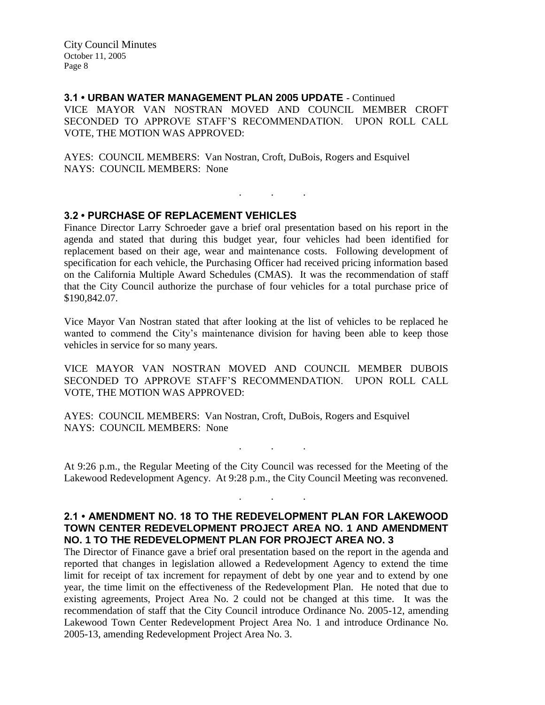**3.1 • URBAN WATER MANAGEMENT PLAN 2005 UPDATE** - Continued VICE MAYOR VAN NOSTRAN MOVED AND COUNCIL MEMBER CROFT SECONDED TO APPROVE STAFF'S RECOMMENDATION. UPON ROLL CALL VOTE, THE MOTION WAS APPROVED:

AYES: COUNCIL MEMBERS: Van Nostran, Croft, DuBois, Rogers and Esquivel NAYS: COUNCIL MEMBERS: None

## **3.2 • PURCHASE OF REPLACEMENT VEHICLES**

Finance Director Larry Schroeder gave a brief oral presentation based on his report in the agenda and stated that during this budget year, four vehicles had been identified for replacement based on their age, wear and maintenance costs. Following development of specification for each vehicle, the Purchasing Officer had received pricing information based on the California Multiple Award Schedules (CMAS). It was the recommendation of staff that the City Council authorize the purchase of four vehicles for a total purchase price of \$190,842.07.

. . .

Vice Mayor Van Nostran stated that after looking at the list of vehicles to be replaced he wanted to commend the City's maintenance division for having been able to keep those vehicles in service for so many years.

VICE MAYOR VAN NOSTRAN MOVED AND COUNCIL MEMBER DUBOIS SECONDED TO APPROVE STAFF'S RECOMMENDATION. UPON ROLL CALL VOTE, THE MOTION WAS APPROVED:

AYES: COUNCIL MEMBERS: Van Nostran, Croft, DuBois, Rogers and Esquivel NAYS: COUNCIL MEMBERS: None

At 9:26 p.m., the Regular Meeting of the City Council was recessed for the Meeting of the Lakewood Redevelopment Agency. At 9:28 p.m., the City Council Meeting was reconvened.

. . .

. . .

## **2.1 • AMENDMENT NO. 18 TO THE REDEVELOPMENT PLAN FOR LAKEWOOD TOWN CENTER REDEVELOPMENT PROJECT AREA NO. 1 AND AMENDMENT NO. 1 TO THE REDEVELOPMENT PLAN FOR PROJECT AREA NO. 3**

The Director of Finance gave a brief oral presentation based on the report in the agenda and reported that changes in legislation allowed a Redevelopment Agency to extend the time limit for receipt of tax increment for repayment of debt by one year and to extend by one year, the time limit on the effectiveness of the Redevelopment Plan. He noted that due to existing agreements, Project Area No. 2 could not be changed at this time. It was the recommendation of staff that the City Council introduce Ordinance No. 2005-12, amending Lakewood Town Center Redevelopment Project Area No. 1 and introduce Ordinance No. 2005-13, amending Redevelopment Project Area No. 3.